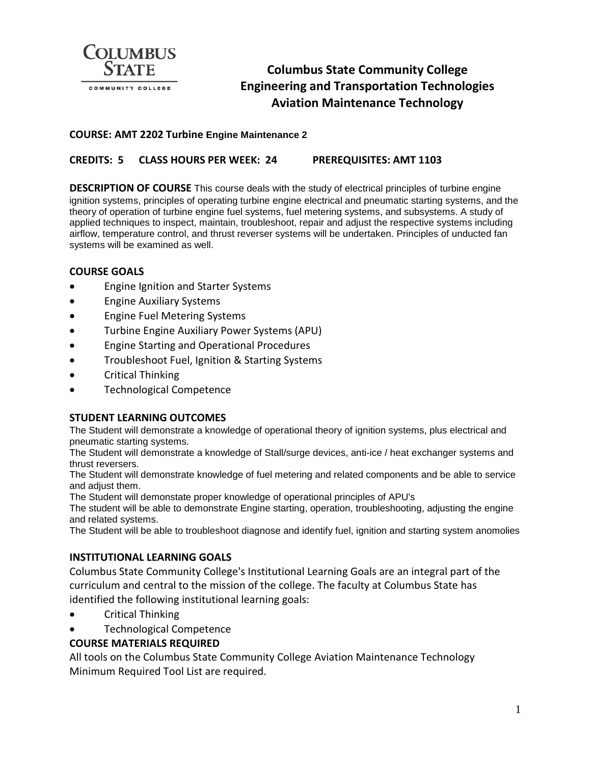

# **Columbus State Community College Engineering and Transportation Technologies Aviation Maintenance Technology**

## **COURSE: AMT 2202 Turbine Engine Maintenance 2**

# **CREDITS: 5 CLASS HOURS PER WEEK: 24 PREREQUISITES: AMT 1103**

**DESCRIPTION OF COURSE** This course deals with the study of electrical principles of turbine engine ignition systems, principles of operating turbine engine electrical and pneumatic starting systems, and the theory of operation of turbine engine fuel systems, fuel metering systems, and subsystems. A study of applied techniques to inspect, maintain, troubleshoot, repair and adjust the respective systems including airflow, temperature control, and thrust reverser systems will be undertaken. Principles of unducted fan systems will be examined as well.

#### **COURSE GOALS**

- Engine Ignition and Starter Systems
- Engine Auxiliary Systems
- Engine Fuel Metering Systems
- Turbine Engine Auxiliary Power Systems (APU)
- Engine Starting and Operational Procedures
- Troubleshoot Fuel, Ignition & Starting Systems
- Critical Thinking
- Technological Competence

#### **STUDENT LEARNING OUTCOMES**

The Student will demonstrate a knowledge of operational theory of ignition systems, plus electrical and pneumatic starting systems.

The Student will demonstrate a knowledge of Stall/surge devices, anti-ice / heat exchanger systems and thrust reversers.

The Student will demonstrate knowledge of fuel metering and related components and be able to service and adjust them.

The Student will demonstate proper knowledge of operational principles of APU's

The student will be able to demonstrate Engine starting, operation, troubleshooting, adjusting the engine and related systems.

The Student will be able to troubleshoot diagnose and identify fuel, ignition and starting system anomolies

## **INSTITUTIONAL LEARNING GOALS**

Columbus State Community College's Institutional Learning Goals are an integral part of the curriculum and central to the mission of the college. The faculty at Columbus State has identified the following institutional learning goals:

- Critical Thinking
- Technological Competence

## **COURSE MATERIALS REQUIRED**

All tools on the Columbus State Community College Aviation Maintenance Technology Minimum Required Tool List are required.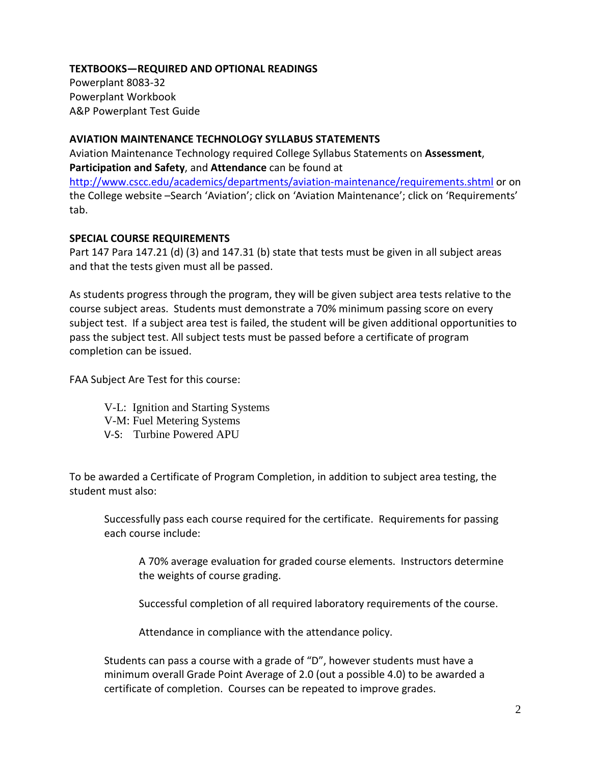# **TEXTBOOKS—REQUIRED AND OPTIONAL READINGS**

Powerplant 8083-32 Powerplant Workbook A&P Powerplant Test Guide

## **AVIATION MAINTENANCE TECHNOLOGY SYLLABUS STATEMENTS**

Aviation Maintenance Technology required College Syllabus Statements on **Assessment**, **Participation and Safety**, and **Attendance** can be found at <http://www.cscc.edu/academics/departments/aviation-maintenance/requirements.shtml> or on the College website –Search 'Aviation'; click on 'Aviation Maintenance'; click on 'Requirements' tab.

# **SPECIAL COURSE REQUIREMENTS**

Part 147 Para 147.21 (d) (3) and 147.31 (b) state that tests must be given in all subject areas and that the tests given must all be passed.

As students progress through the program, they will be given subject area tests relative to the course subject areas. Students must demonstrate a 70% minimum passing score on every subject test. If a subject area test is failed, the student will be given additional opportunities to pass the subject test. All subject tests must be passed before a certificate of program completion can be issued.

FAA Subject Are Test for this course:

- V-L: Ignition and Starting Systems
- V-M: Fuel Metering Systems
- V-S: Turbine Powered APU

To be awarded a Certificate of Program Completion, in addition to subject area testing, the student must also:

Successfully pass each course required for the certificate. Requirements for passing each course include:

A 70% average evaluation for graded course elements. Instructors determine the weights of course grading.

Successful completion of all required laboratory requirements of the course.

Attendance in compliance with the attendance policy.

Students can pass a course with a grade of "D", however students must have a minimum overall Grade Point Average of 2.0 (out a possible 4.0) to be awarded a certificate of completion. Courses can be repeated to improve grades.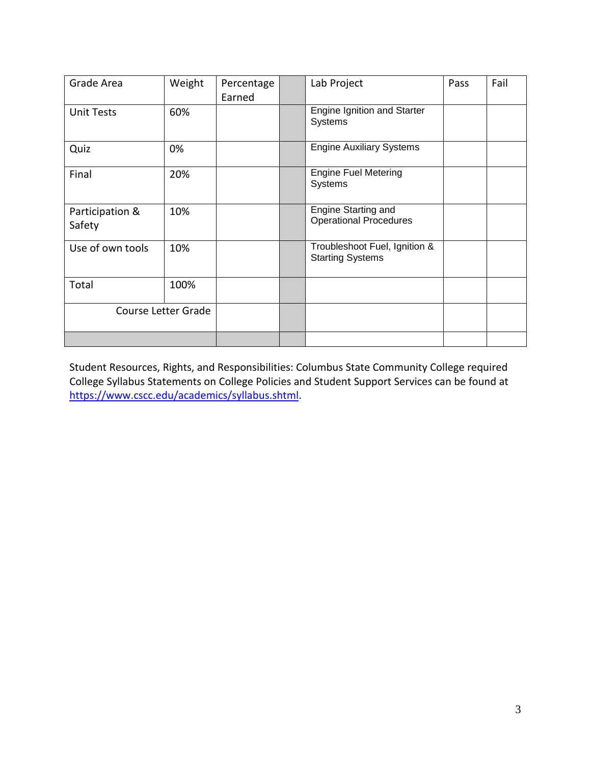| Grade Area                | Weight | Percentage<br>Earned | Lab Project                                              | Pass | Fail |
|---------------------------|--------|----------------------|----------------------------------------------------------|------|------|
| <b>Unit Tests</b>         | 60%    |                      | <b>Engine Ignition and Starter</b><br>Systems            |      |      |
| Quiz                      | 0%     |                      | <b>Engine Auxiliary Systems</b>                          |      |      |
| Final                     | 20%    |                      | <b>Engine Fuel Metering</b><br>Systems                   |      |      |
| Participation &<br>Safety | 10%    |                      | Engine Starting and<br><b>Operational Procedures</b>     |      |      |
| Use of own tools          | 10%    |                      | Troubleshoot Fuel, Ignition &<br><b>Starting Systems</b> |      |      |
| Total                     | 100%   |                      |                                                          |      |      |
| Course Letter Grade       |        |                      |                                                          |      |      |
|                           |        |                      |                                                          |      |      |

Student Resources, Rights, and Responsibilities: Columbus State Community College required College Syllabus Statements on College Policies and Student Support Services can be found at [https://www.cscc.edu/academics/syllabus.shtml.](https://www.cscc.edu/academics/syllabus.shtml)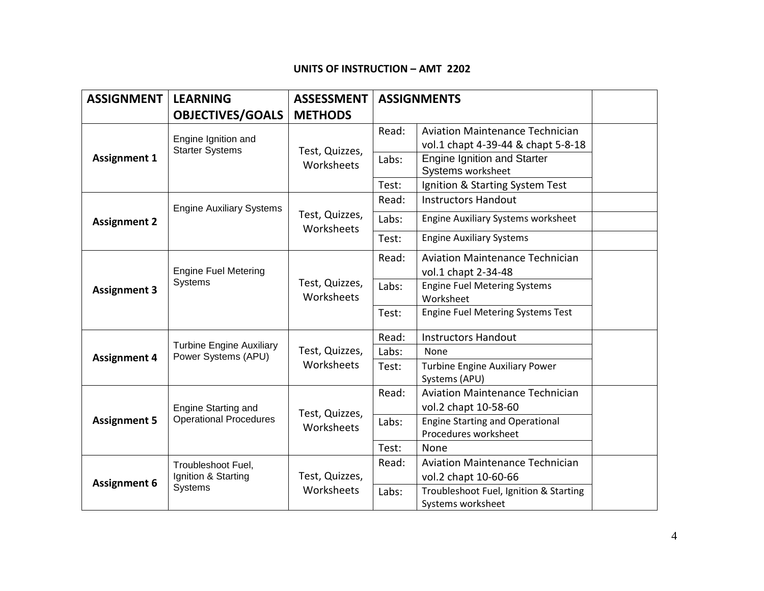### **UNITS OF INSTRUCTION – AMT 2202**

| <b>ASSIGNMENT</b>   | <b>LEARNING</b>                                             | <b>ASSESSMENT</b>            | <b>ASSIGNMENTS</b> |                                                         |  |
|---------------------|-------------------------------------------------------------|------------------------------|--------------------|---------------------------------------------------------|--|
|                     | <b>OBJECTIVES/GOALS</b>                                     | <b>METHODS</b>               |                    |                                                         |  |
| <b>Assignment 1</b> | Engine Ignition and<br><b>Starter Systems</b>               | Test, Quizzes,<br>Worksheets | Read:              | <b>Aviation Maintenance Technician</b>                  |  |
|                     |                                                             |                              |                    | vol.1 chapt 4-39-44 & chapt 5-8-18                      |  |
|                     |                                                             |                              | Labs:              | <b>Engine Ignition and Starter</b><br>Systems worksheet |  |
|                     |                                                             |                              | Test:              | Ignition & Starting System Test                         |  |
| <b>Assignment 2</b> | <b>Engine Auxiliary Systems</b>                             | Test, Quizzes,<br>Worksheets | Read:              | <b>Instructors Handout</b>                              |  |
|                     |                                                             |                              | Labs:              | Engine Auxiliary Systems worksheet                      |  |
|                     |                                                             |                              | Test:              | <b>Engine Auxiliary Systems</b>                         |  |
| <b>Assignment 3</b> | <b>Engine Fuel Metering</b><br>Systems                      | Test, Quizzes,<br>Worksheets | Read:              | <b>Aviation Maintenance Technician</b>                  |  |
|                     |                                                             |                              |                    | vol.1 chapt 2-34-48                                     |  |
|                     |                                                             |                              | Labs:              | <b>Engine Fuel Metering Systems</b>                     |  |
|                     |                                                             |                              |                    | Worksheet                                               |  |
|                     |                                                             |                              | Test:              | <b>Engine Fuel Metering Systems Test</b>                |  |
|                     | <b>Turbine Engine Auxiliary</b><br>Power Systems (APU)      | Test, Quizzes,<br>Worksheets | Read:              | <b>Instructors Handout</b>                              |  |
| <b>Assignment 4</b> |                                                             |                              | Labs:              | None                                                    |  |
|                     |                                                             |                              | Test:              | <b>Turbine Engine Auxiliary Power</b>                   |  |
|                     |                                                             |                              |                    | Systems (APU)                                           |  |
| <b>Assignment 5</b> | Engine Starting and<br><b>Operational Procedures</b>        | Test, Quizzes,<br>Worksheets | Read:              | <b>Aviation Maintenance Technician</b>                  |  |
|                     |                                                             |                              |                    | vol.2 chapt 10-58-60                                    |  |
|                     |                                                             |                              | Labs:              | <b>Engine Starting and Operational</b>                  |  |
|                     |                                                             |                              |                    | Procedures worksheet                                    |  |
|                     |                                                             |                              | Test:              | None                                                    |  |
| <b>Assignment 6</b> | Troubleshoot Fuel,<br>Ignition & Starting<br><b>Systems</b> | Test, Quizzes,<br>Worksheets | Read:              | <b>Aviation Maintenance Technician</b>                  |  |
|                     |                                                             |                              |                    | vol.2 chapt 10-60-66                                    |  |
|                     |                                                             |                              | Labs:              | Troubleshoot Fuel, Ignition & Starting                  |  |
|                     |                                                             |                              |                    | Systems worksheet                                       |  |